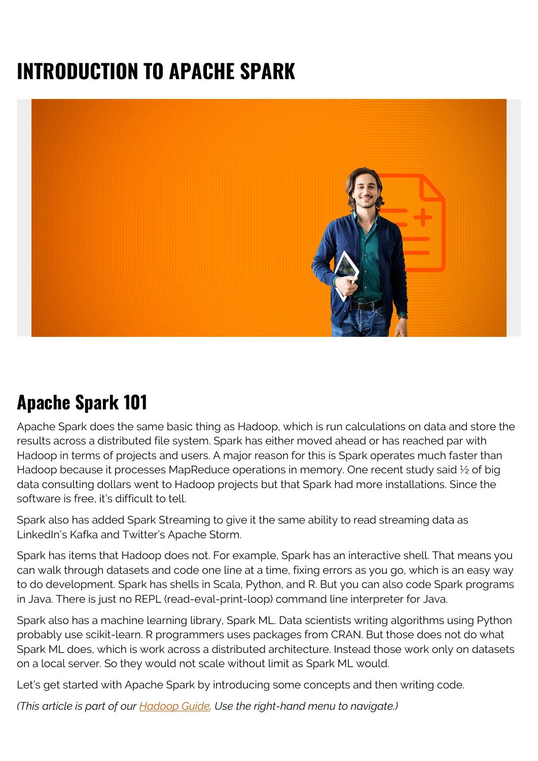# **INTRODUCTION TO APACHE SPARK**



## **Apache Spark 101**

Apache Spark does the same basic thing as Hadoop, which is run calculations on data and store the results across a distributed file system. Spark has either moved ahead or has reached par with Hadoop in terms of projects and users. A major reason for this is Spark operates much faster than Hadoop because it processes MapReduce operations in memory. One recent study said 1/2 of big data consulting dollars went to Hadoop projects but that Spark had more installations. Since the software is free, it's difficult to tell.

Spark also has added Spark Streaming to give it the same ability to read streaming data as LinkedIn's Kafka and Twitter's Apache Storm.

Spark has items that Hadoop does not. For example, Spark has an interactive shell. That means you can walk through datasets and code one line at a time, fixing errors as you go, which is an easy way to do development. Spark has shells in Scala, Python, and R. But you can also code Spark programs in Java. There is just no REPL (read-eval-print-loop) command line interpreter for Java.

Spark also has a machine learning library, Spark ML. Data scientists writing algorithms using Python probably use scikit-learn. R programmers uses packages from CRAN. But those does not do what Spark ML does, which is work across a distributed architecture. Instead those work only on datasets on a local server. So they would not scale without limit as Spark ML would.

Let's get started with Apache Spark by introducing some concepts and then writing code.

*(This article is part of our [Hadoop Guide](https://blogs.bmc.com/blogs/hadoop-introduction/). Use the right-hand menu to navigate.)*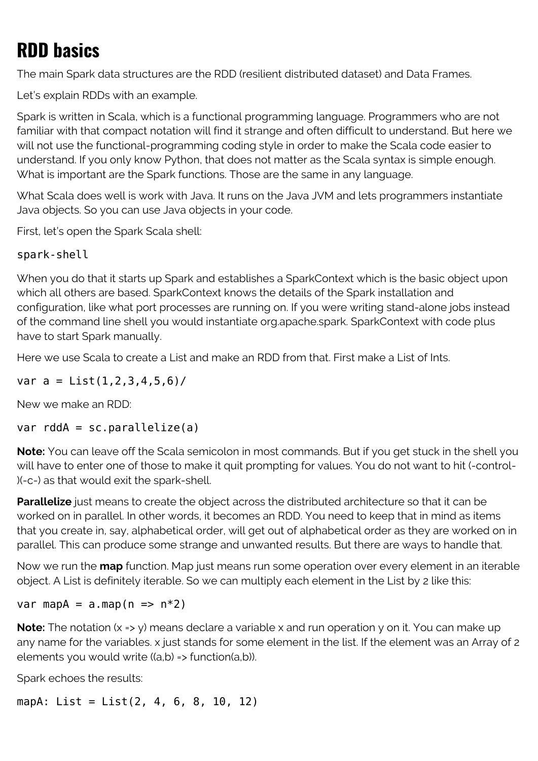# **RDD basics**

The main Spark data structures are the RDD (resilient distributed dataset) and Data Frames.

Let's explain RDDs with an example.

Spark is written in Scala, which is a functional programming language. Programmers who are not familiar with that compact notation will find it strange and often difficult to understand. But here we will not use the functional-programming coding style in order to make the Scala code easier to understand. If you only know Python, that does not matter as the Scala syntax is simple enough. What is important are the Spark functions. Those are the same in any language.

What Scala does well is work with Java. It runs on the Java JVM and lets programmers instantiate Java objects. So you can use Java objects in your code.

First, let's open the Spark Scala shell:

### spark-shell

When you do that it starts up Spark and establishes a SparkContext which is the basic object upon which all others are based. SparkContext knows the details of the Spark installation and configuration, like what port processes are running on. If you were writing stand-alone jobs instead of the command line shell you would instantiate org.apache.spark. SparkContext with code plus have to start Spark manually.

Here we use Scala to create a List and make an RDD from that. First make a List of Ints.

var  $a = List(1, 2, 3, 4, 5, 6)$ /

New we make an RDD:

var  $rddA = sc.parallelize(a)$ 

**Note:** You can leave off the Scala semicolon in most commands. But if you get stuck in the shell you will have to enter one of those to make it quit prompting for values. You do not want to hit (-control- )(-c-) as that would exit the spark-shell.

**Parallelize** just means to create the object across the distributed architecture so that it can be worked on in parallel. In other words, it becomes an RDD. You need to keep that in mind as items that you create in, say, alphabetical order, will get out of alphabetical order as they are worked on in parallel. This can produce some strange and unwanted results. But there are ways to handle that.

Now we run the **map** function. Map just means run some operation over every element in an iterable object. A List is definitely iterable. So we can multiply each element in the List by 2 like this:

var map $A = a \cdot \text{map}(n \implies n \cdot 2)$ 

**Note:** The notation (x => y) means declare a variable x and run operation y on it. You can make up any name for the variables. x just stands for some element in the list. If the element was an Array of 2 elements you would write ((a,b) => function(a,b)).

Spark echoes the results:

mapA: List = List(2, 4, 6, 8, 10, 12)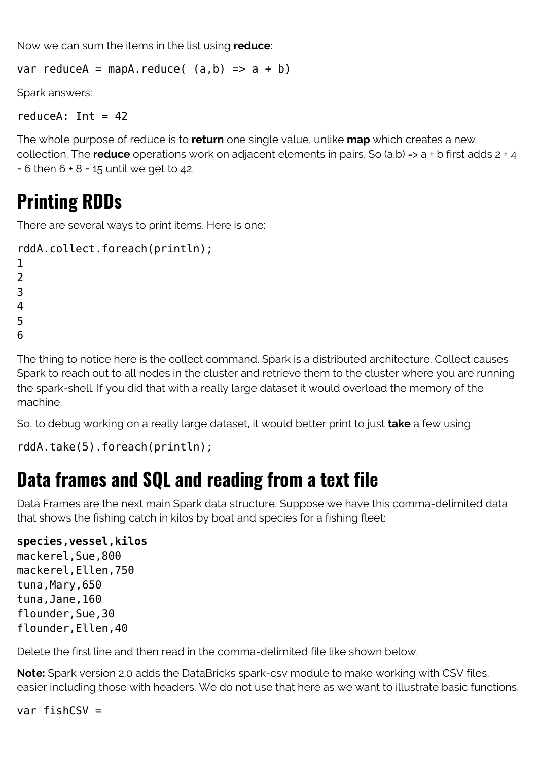Now we can sum the items in the list using **reduce**:

var reduceA = mapA.reduce( $(a,b)$  => a + b)

Spark answers:

reduceA:  $Int = 42$ 

The whole purpose of reduce is to **return** one single value, unlike **map** which creates a new collection. The **reduce** operations work on adjacent elements in pairs. So (a,b) => a + b first adds 2 + 4  $= 6$  then  $6 + 8 = 15$  until we get to 42.

# **Printing RDDs**

There are several ways to print items. Here is one:

```
rddA.collect.foreach(println);
1
```
 $\overline{\phantom{0}}$ 3

4

5

6

The thing to notice here is the collect command. Spark is a distributed architecture. Collect causes Spark to reach out to all nodes in the cluster and retrieve them to the cluster where you are running the spark-shell. If you did that with a really large dataset it would overload the memory of the machine.

So, to debug working on a really large dataset, it would better print to just **take** a few using:

```
rddA.take(5).foreach(println);
```
### **Data frames and SQL and reading from a text file**

Data Frames are the next main Spark data structure. Suppose we have this comma-delimited data that shows the fishing catch in kilos by boat and species for a fishing fleet:

### **species,vessel,kilos**

mackerel,Sue,800 mackerel,Ellen,750 tuna, Mary, 650 tuna,Jane,160 flounder,Sue,30 flounder,Ellen,40

Delete the first line and then read in the comma-delimited file like shown below.

**Note:** Spark version 2.0 adds the DataBricks spark-csv module to make working with CSV files, easier including those with headers. We do not use that here as we want to illustrate basic functions.

var fish $CSV =$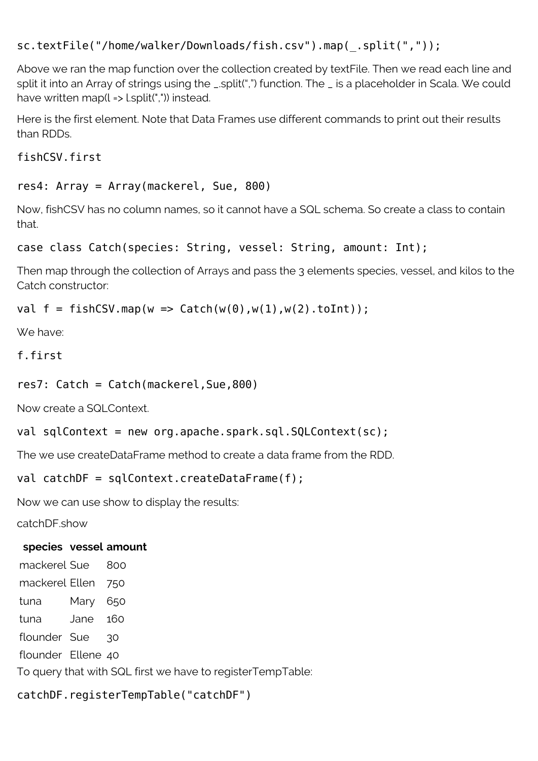```
sc.textFile("/home/walker/Downloads/fish.csv").map(_.split(","));
```
Above we ran the map function over the collection created by textFile. Then we read each line and split it into an Array of strings using the \_.split(",") function. The \_ is a placeholder in Scala. We could have written map( $l =$  l.split(",")) instead.

Here is the first element. Note that Data Frames use different commands to print out their results than RDDs.

fishCSV.first

#### res4: Array = Array(mackerel, Sue, 800)

Now, fishCSV has no column names, so it cannot have a SQL schema. So create a class to contain that.

```
case class Catch(species: String, vessel: String, amount: Int);
```
Then map through the collection of Arrays and pass the 3 elements species, vessel, and kilos to the Catch constructor:

```
val f = fishCSV.map(w \implies Catch(w(0), w(1), w(2).toInt));
```
We have:

```
f.first
```

```
res7: Catch = Catch(mackerel,Sue,800)
```
Now create a SQLContext.

```
val sqlContext = new org.apache.spark.sql.SQLContext(sc);
```
The we use createDataFrame method to create a data frame from the RDD.

#### val catchDF = sqlContext.createDataFrame(f);

Now we can use show to display the results:

catchDF.show

#### **species vessel amount**

mackerel Sue 800 mackerel Ellen 750 tuna Mary 650 tuna Jane 160 flounder Sue 30 flounder Ellene 40 To query that with SQL first we have to registerTempTable:

catchDF.registerTempTable("catchDF")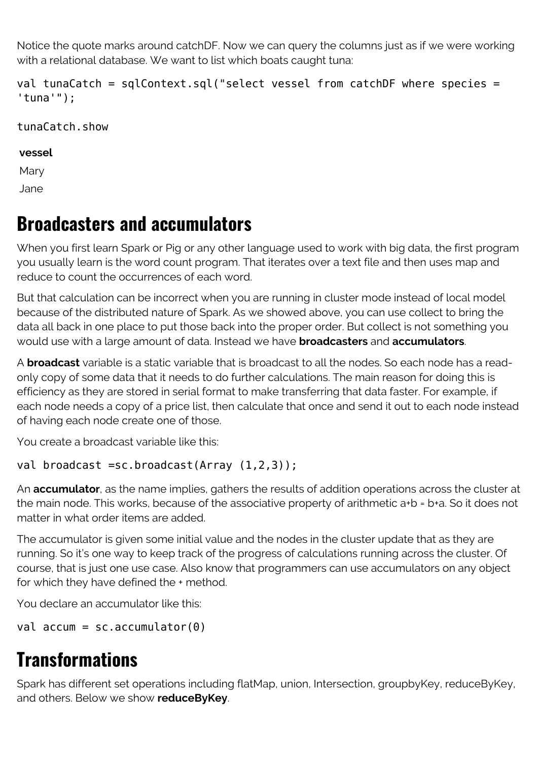Notice the quote marks around catchDF. Now we can query the columns just as if we were working with a relational database. We want to list which boats caught tuna:

val tunaCatch = sqlContext.sql("select vessel from catchDF where species = 'tuna'");

### tunaCatch.show

#### **vessel**

Mary Jane

### **Broadcasters and accumulators**

When you first learn Spark or Pig or any other language used to work with big data, the first program you usually learn is the word count program. That iterates over a text file and then uses map and reduce to count the occurrences of each word.

But that calculation can be incorrect when you are running in cluster mode instead of local model because of the distributed nature of Spark. As we showed above, you can use collect to bring the data all back in one place to put those back into the proper order. But collect is not something you would use with a large amount of data. Instead we have **broadcasters** and **accumulators**.

A **broadcast** variable is a static variable that is broadcast to all the nodes. So each node has a readonly copy of some data that it needs to do further calculations. The main reason for doing this is efficiency as they are stored in serial format to make transferring that data faster. For example, if each node needs a copy of a price list, then calculate that once and send it out to each node instead of having each node create one of those.

You create a broadcast variable like this:

### val broadcast =sc.broadcast(Array (1,2,3));

An **accumulator**, as the name implies, gathers the results of addition operations across the cluster at the main node. This works, because of the associative property of arithmetic a+b = b+a. So it does not matter in what order items are added.

The accumulator is given some initial value and the nodes in the cluster update that as they are running. So it's one way to keep track of the progress of calculations running across the cluster. Of course, that is just one use case. Also know that programmers can use accumulators on any object for which they have defined the + method.

You declare an accumulator like this:

```
val accum = sc.accumulator(0)
```
# **Transformations**

Spark has different set operations including flatMap, union, Intersection, groupbyKey, reduceByKey, and others. Below we show **reduceByKey**.